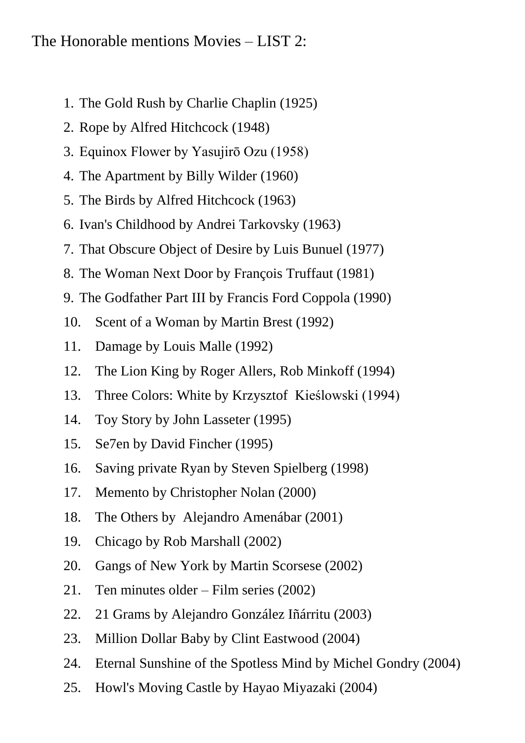## The Honorable mentions Movies – LIST 2:

- 1. The Gold Rush by Charlie Chaplin (1925)
- 2. Rope by Alfred Hitchcock (1948)
- 3. Equinox Flower by Yasujirō Ozu (1958)
- 4. The Apartment by Billy Wilder (1960)
- 5. The Birds by Alfred Hitchcock (1963)
- 6. Ivan's Childhood by Andrei Tarkovsky (1963)
- 7. That Obscure Object of Desire by Luis Bunuel (1977)
- 8. The Woman Next Door by François Truffaut (1981)
- 9. The Godfather Part III by Francis Ford Coppola (1990)
- 10. Scent of a Woman by Martin Brest (1992)
- 11. Damage by Louis Malle (1992)
- 12. The Lion King by Roger Allers, Rob Minkoff (1994)
- 13. Three Colors: White by Krzysztof Kieślowski (1994)
- 14. Toy Story by John Lasseter (1995)
- 15. Se7en by David Fincher (1995)
- 16. Saving private Ryan by Steven Spielberg (1998)
- 17. Memento by Christopher Nolan (2000)
- 18. The Others by Alejandro Amenábar (2001)
- 19. Chicago by Rob Marshall (2002)
- 20. Gangs of New York by Martin Scorsese (2002)
- 21. Ten minutes older Film series (2002)
- 22. 21 Grams by Alejandro González Iñárritu (2003)
- 23. Million Dollar Baby by Clint Eastwood (2004)
- 24. Eternal Sunshine of the Spotless Mind by Michel Gondry (2004)
- 25. Howl's Moving Castle by Hayao Miyazaki (2004)